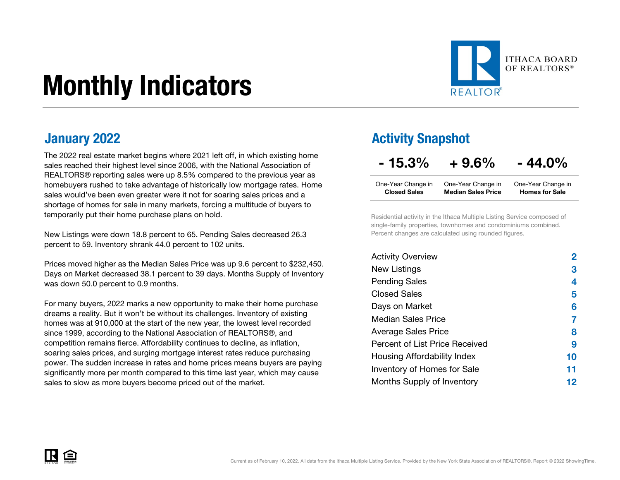# Monthly Indicators



The 2022 real estate market begins where 2021 left off, in which existing home sales reached their highest level since 2006, with the National Association of REALTORS® reporting sales were up 8.5% compared to the previous year as homebuyers rushed to take advantage of historically low mortgage rates. Home sales would've been even greater were it not for soaring sales prices and a shortage of homes for sale in many markets, forcing a multitude of buyers to temporarily put their home purchase plans on hold.

New Listings were down 18.8 percent to 65. Pending Sales decreased 26.3 percent to 59. Inventory shrank 44.0 percent to 102 units.

Prices moved higher as the Median Sales Price was up 9.6 percent to \$232,450. Days on Market decreased 38.1 percent to 39 days. Months Supply of Inventory was down 50.0 percent to 0.9 months.

For many buyers, 2022 marks a new opportunity to make their home purchase dreams a reality. But it won't be without its challenges. Inventory of existing homes was at 910,000 at the start of the new year, the lowest level recorded since 1999, according to the National Association of REALTORS®, and competition remains fierce. Affordability continues to decline, as inflation, soaring sales prices, and surging mortgage interest rates reduce purchasing power. The sudden increase in rates and home prices means buyers are paying significantly more per month compared to this time last year, which may cause sales to slow as more buyers become priced out of the market.

### **January 2022 Activity Snapshot**

 $-15.3\% + 9.6\% - 44.0\%$ 

| One-Year Change in  | One-Year Change in        | One-Year Change in    |
|---------------------|---------------------------|-----------------------|
| <b>Closed Sales</b> | <b>Median Sales Price</b> | <b>Homes for Sale</b> |

Residential activity in the Ithaca Multiple Listing Service composed of single-family properties, townhomes and condominiums combined. Percent changes are calculated using rounded figures.

| <b>Activity Overview</b>       | 2  |
|--------------------------------|----|
| New Listings                   | 3  |
| <b>Pending Sales</b>           | 4  |
| <b>Closed Sales</b>            | 5  |
| Days on Market                 | 6  |
| <b>Median Sales Price</b>      |    |
| <b>Average Sales Price</b>     | 8  |
| Percent of List Price Received | 9  |
| Housing Affordability Index    | 10 |
| Inventory of Homes for Sale    | 11 |
| Months Supply of Inventory     | 12 |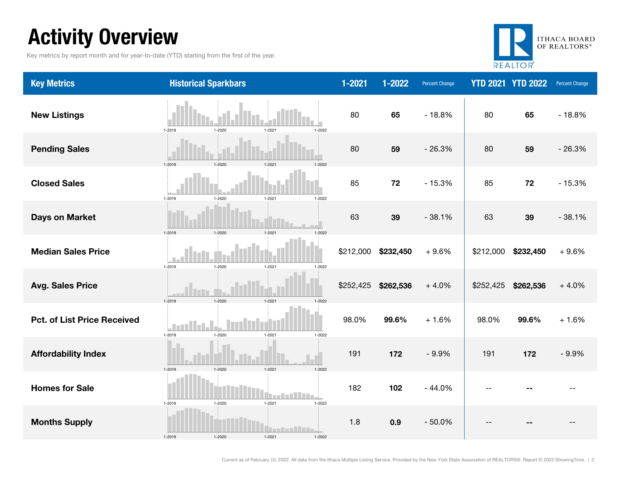### Activity Overview

Key metrics by report month and for year-to-date (YTD) starting from the first of the year.



| <b>Key Metrics</b>                 | <b>Historical Sparkbars</b>                      | $1 - 2021$ | 1-2022    | <b>Percent Change</b> |           | <b>YTD 2021 YTD 2022</b> | Percent Change |
|------------------------------------|--------------------------------------------------|------------|-----------|-----------------------|-----------|--------------------------|----------------|
| <b>New Listings</b>                | 1-2019<br>$1 - 2020$<br>1-2021<br>1-2022         | 80         | 65        | $-18.8%$              | 80        | 65                       | $-18.8%$       |
| <b>Pending Sales</b>               | 1-2019<br>1-2020<br>1-2021<br>1-2022             | 80         | 59        | $-26.3%$              | 80        | 59                       | $-26.3%$       |
| <b>Closed Sales</b>                | 1-2019<br>1-2020<br>$1 - 2021$<br>1-2022         | 85         | 72        | $-15.3%$              | 85        | 72                       | $-15.3%$       |
| <b>Days on Market</b>              | $1 - 2020$<br>1-2021<br>1-2019<br>1-2022         | 63         | 39        | $-38.1%$              | 63        | 39                       | $-38.1%$       |
| <b>Median Sales Price</b>          | 1-2019<br>$1 - 2020$<br>$1 - 2021$<br>$1 - 2022$ | \$212,000  | \$232,450 | $+9.6%$               | \$212,000 | \$232,450                | $+9.6%$        |
| <b>Avg. Sales Price</b>            | 1-2019<br>$1 - 2020$<br>1-2021<br>1-2022         | \$252,425  | \$262,536 | $+4.0%$               | \$252,425 | \$262,536                | $+4.0%$        |
| <b>Pct. of List Price Received</b> | 1-2019<br>$1 - 2021$<br>1-2020<br>1-2022         | 98.0%      | 99.6%     | $+1.6%$               | 98.0%     | 99.6%                    | $+1.6%$        |
| <b>Affordability Index</b>         | $1 - 2020$<br>1-2019<br>1-2021<br>1-2022         | 191        | 172       | $-9.9%$               | 191       | 172                      | $-9.9%$        |
| <b>Homes for Sale</b>              | 1-2019<br>$1 - 2020$<br>$1 - 2021$<br>$1 - 2022$ | 182        | 102       | $-44.0%$              |           |                          |                |
| <b>Months Supply</b>               | .<br>1-2019<br>$1 - 2020$<br>1-2021<br>1-2022    | 1.8        | 0.9       | $-50.0%$              |           |                          |                |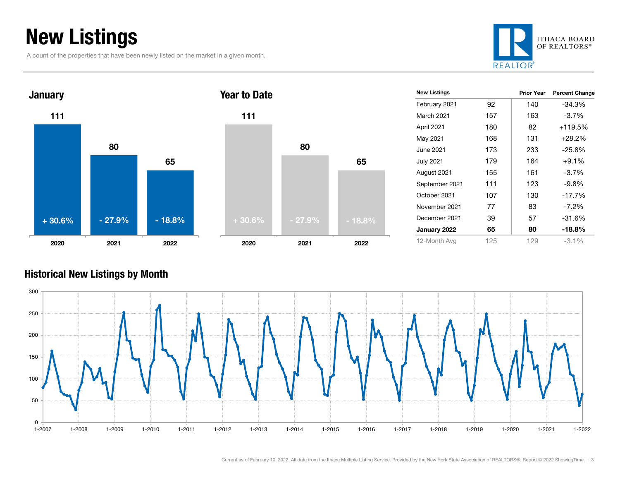### New Listings

A count of the properties that have been newly listed on the market in a given month.





#### Historical New Listings by Month

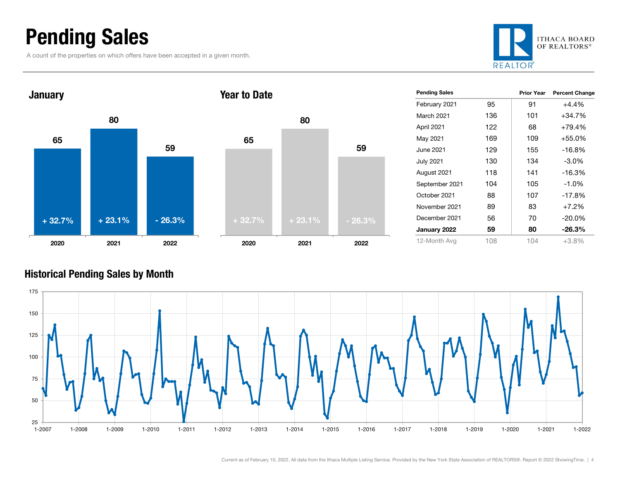### Pending Sales

A count of the properties on which offers have been accepted in a given month.





| <b>Pending Sales</b> |     | <b>Prior Year</b> | <b>Percent Change</b> |
|----------------------|-----|-------------------|-----------------------|
| February 2021        | 95  | 91                | $+4.4%$               |
| March 2021           | 136 | 101               | $+34.7%$              |
| April 2021           | 122 | 68                | $+79.4%$              |
| May 2021             | 169 | 109               | $+55.0%$              |
| June 2021            | 129 | 155               | $-16.8%$              |
| <b>July 2021</b>     | 130 | 134               | $-3.0\%$              |
| August 2021          | 118 | 141               | -16.3%                |
| September 2021       | 104 | 105               | $-1.0%$               |
| October 2021         | 88  | 107               | $-17.8%$              |
| November 2021        | 89  | 83                | $+7.2%$               |
| December 2021        | 56  | 70                | $-20.0\%$             |
| January 2022         | 59  | 80                | -26.3%                |
| 12-Month Avg         | 108 | 104               | $+3.8%$               |

#### Historical Pending Sales by Month



59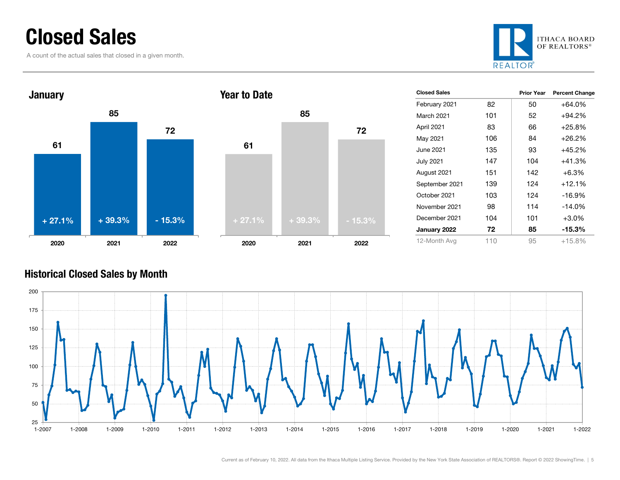### Closed Sales

A count of the actual sales that closed in a given month.





| <b>Closed Sales</b> |     | <b>Prior Year</b> | <b>Percent Change</b> |
|---------------------|-----|-------------------|-----------------------|
| February 2021       | 82  | 50                | +64.0%                |
| March 2021          | 101 | 52                | +94.2%                |
| April 2021          | 83  | 66                | $+25.8%$              |
| May 2021            | 106 | 84                | +26.2%                |
| June 2021.          | 135 | 93                | +45.2%                |
| July 2021           | 147 | 104               | +41.3%                |
| August 2021         | 151 | 142               | $+6.3\%$              |
| September 2021      | 139 | 124               | $+12.1%$              |
| October 2021        | 103 | 124               | $-16.9%$              |
| November 2021       | 98  | 114               | $-14.0%$              |
| December 2021       | 104 | 101               | $+3.0%$               |
| January 2022        | 72  | 85                | $-15.3%$              |
| 12-Month Avg        | 110 | 95                | +15.8%                |

#### Historical Closed Sales by Month



72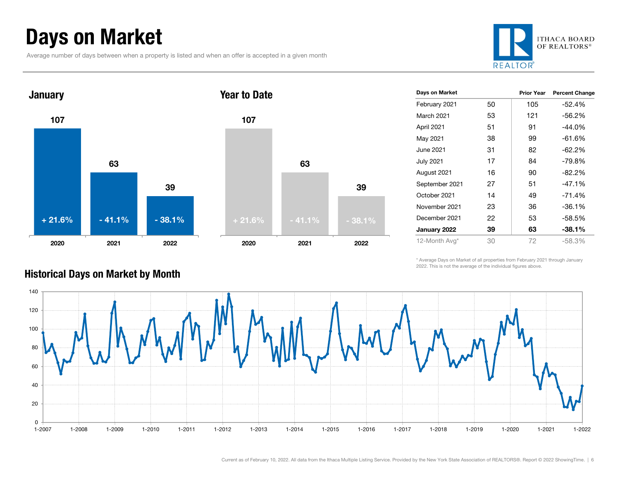### Days on Market

Average number of days between when a property is listed and when an offer is accepted in a given month







| Days on Market    |    | <b>Prior Year</b> | <b>Percent Change</b> |
|-------------------|----|-------------------|-----------------------|
| February 2021     | 50 | 105               | -52.4%                |
| <b>March 2021</b> | 53 | 121               | $-56.2\%$             |
| April 2021        | 51 | 91                | $-44.0%$              |
| May 2021          | 38 | 99                | $-61.6%$              |
| June 2021         | 31 | 82                | -62.2%                |
| <b>July 2021</b>  | 17 | 84                | -79.8%                |
| August 2021       | 16 | 90                | $-82.2%$              |
| September 2021    | 27 | 51                | $-47.1%$              |
| October 2021      | 14 | 49                | $-71.4%$              |
| November 2021     | 23 | 36                | $-36.1%$              |
| December 2021     | 22 | 53                | -58.5%                |
| January 2022      | 39 | 63                | $-38.1\%$             |
| 12-Month Avg*     | 30 | 72                | $-58.3%$              |

\* Average Days on Market of all properties from February 2021 through January 2022. This is not the average of the individual figures above.



#### Historical Days on Market by Month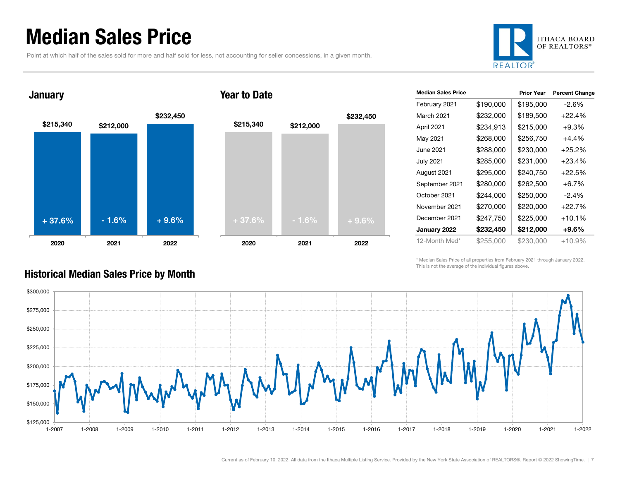### Median Sales Price

**January** 

Point at which half of the sales sold for more and half sold for less, not accounting for seller concessions, in a given month.









| <b>Median Sales Price</b> |           | <b>Prior Year</b> | <b>Percent Change</b> |
|---------------------------|-----------|-------------------|-----------------------|
| February 2021             | \$190,000 | \$195,000         | $-2.6\%$              |
| March 2021                | \$232,000 | \$189,500         | $+22.4%$              |
| April 2021                | \$234,913 | \$215,000         | $+9.3%$               |
| May 2021                  | \$268,000 | \$256,750         | +4.4%                 |
| June 2021                 | \$288,000 | \$230.000         | $+25.2%$              |
| <b>July 2021</b>          | \$285,000 | \$231,000         | $+23.4%$              |
| August 2021               | \$295,000 | \$240,750         | $+22.5%$              |
| September 2021            | \$280,000 | \$262,500         | $+6.7\%$              |
| October 2021              | \$244,000 | \$250,000         | $-2.4\%$              |
| November 2021             | \$270,000 | \$220,000         | $+22.7%$              |
| December 2021             | \$247,750 | \$225,000         | $+10.1%$              |
| January 2022              | \$232,450 | \$212,000         | $+9.6\%$              |
| 12-Month Med*             | \$255,000 | \$230,000         | $+10.9%$              |

\* Median Sales Price of all properties from February 2021 through January 2022. This is not the average of the individual figures above.



#### Historical Median Sales Price by Month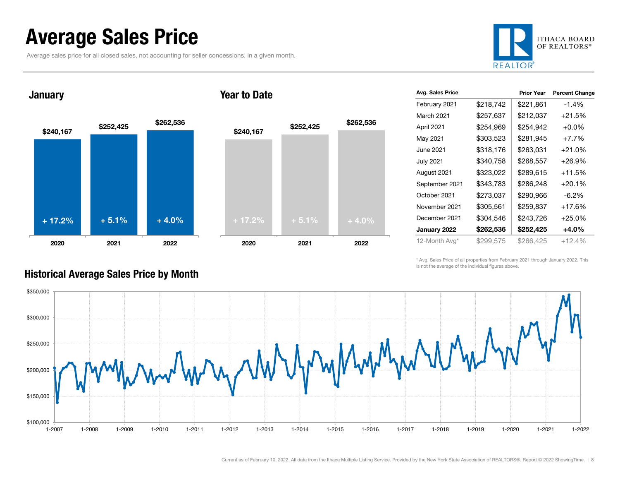### Average Sales Price

Average sales price for all closed sales, not accounting for seller concessions, in a given month.



**January** 



#### Year to Date



| Avg. Sales Price |           | <b>Prior Year</b> | <b>Percent Change</b> |
|------------------|-----------|-------------------|-----------------------|
| February 2021    | \$218,742 | \$221,861         | $-1.4%$               |
| March 2021       | \$257,637 | \$212,037         | $+21.5%$              |
| April 2021       | \$254,969 | \$254,942         | $+0.0\%$              |
| May 2021         | \$303,523 | \$281,945         | $+7.7%$               |
| June 2021        | \$318,176 | \$263,031         | $+21.0%$              |
| <b>July 2021</b> | \$340,758 | \$268,557         | $+26.9%$              |
| August 2021      | \$323,022 | \$289,615         | $+11.5%$              |
| September 2021   | \$343,783 | \$286,248         | $+20.1%$              |
| October 2021     | \$273,037 | \$290,966         | $-6.2\%$              |
| November 2021    | \$305,561 | \$259,837         | $+17.6%$              |
| December 2021    | \$304,546 | \$243,726         | $+25.0%$              |
| January 2022     | \$262,536 | \$252,425         | +4.0%                 |
| 12-Month Avg*    | \$299,575 | \$266,425         | $+12.4%$              |

\* Avg. Sales Price of all properties from February 2021 through January 2022. This is not the average of the individual figures above.



#### Historical Average Sales Price by Month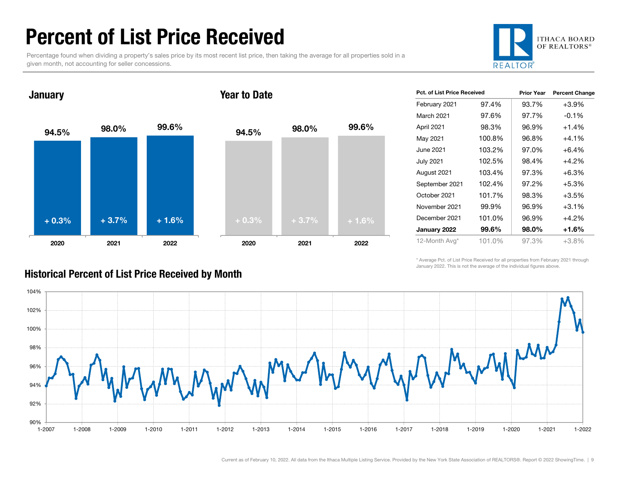### Percent of List Price Received

Percentage found when dividing a property's sales price by its most recent list price, then taking the average for all properties sold in a given month, not accounting for seller concessions.



#### 94.5% 98.0% 99.6% 2020 2021 2022 January 94.5% 98.0% 99.6% 2020 2021 2022 Year to Date+ 0.3% $\%$  + 3.7% + 1.6% +  $\frac{1}{2}$  + 0.3% + 3.7% + 1.6%

| <b>Pct. of List Price Received</b> |        | <b>Prior Year</b> | <b>Percent Change</b> |
|------------------------------------|--------|-------------------|-----------------------|
| February 2021                      | 97.4%  | 93.7%             | $+3.9%$               |
| <b>March 2021</b>                  | 97.6%  | 97.7%             | $-0.1%$               |
| April 2021                         | 98.3%  | 96.9%             | $+1.4%$               |
| May 2021                           | 100.8% | 96.8%             | $+4.1%$               |
| June 2021                          | 103.2% | 97.0%             | $+6.4\%$              |
| <b>July 2021</b>                   | 102.5% | 98.4%             | $+4.2%$               |
| August 2021                        | 103.4% | 97.3%             | $+6.3%$               |
| September 2021                     | 102.4% | 97.2%             | $+5.3%$               |
| October 2021                       | 101.7% | 98.3%             | $+3.5%$               |
| November 2021                      | 99.9%  | 96.9%             | $+3.1%$               |
| December 2021                      | 101.0% | 96.9%             | $+4.2%$               |
| January 2022                       | 99.6%  | 98.0%             | +1.6%                 |
| 12-Month Avg*                      | 101.0% | 97.3%             | $+3.8%$               |

\* Average Pct. of List Price Received for all properties from February 2021 through January 2022. This is not the average of the individual figures above.



#### Historical Percent of List Price Received by Month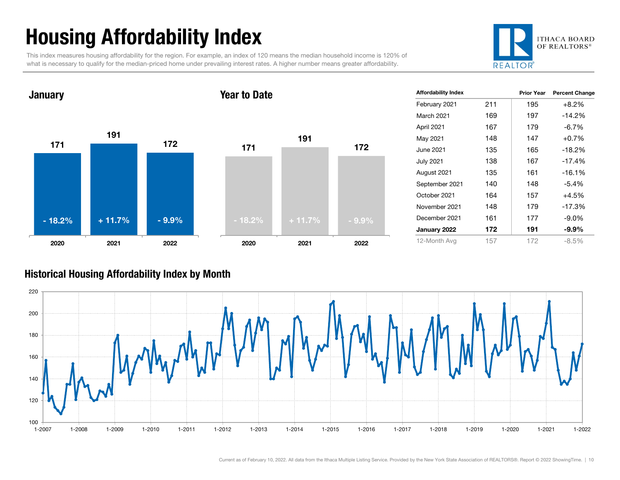## Housing Affordability Index

This index measures housing affordability for the region. For example, an index of 120 means the median household income is 120% of what is necessary to qualify for the median-priced home under prevailing interest rates. A higher number means greater affordability.





| <b>Affordability Index</b> |     | <b>Prior Year</b> | <b>Percent Change</b> |
|----------------------------|-----|-------------------|-----------------------|
| February 2021              | 211 | 195               | $+8.2\%$              |
| March 2021                 | 169 | 197               | $-14.2%$              |
| April 2021                 | 167 | 179               | $-6.7\%$              |
| May 2021                   | 148 | 147               | $+0.7%$               |
| June 2021                  | 135 | 165               | $-18.2%$              |
| <b>July 2021</b>           | 138 | 167               | $-17.4%$              |
| August 2021                | 135 | 161               | $-16.1%$              |
| September 2021             | 140 | 148               | $-5.4\%$              |
| October 2021               | 164 | 157               | +4.5%                 |
| November 2021              | 148 | 179               | $-17.3%$              |
| December 2021              | 161 | 177               | $-9.0\%$              |
| January 2022               | 172 | 191               | $-9.9\%$              |
| 12-Month Avg               | 157 | 172               | $-8.5%$               |

#### Historical Housing Affordability Index by Mont h

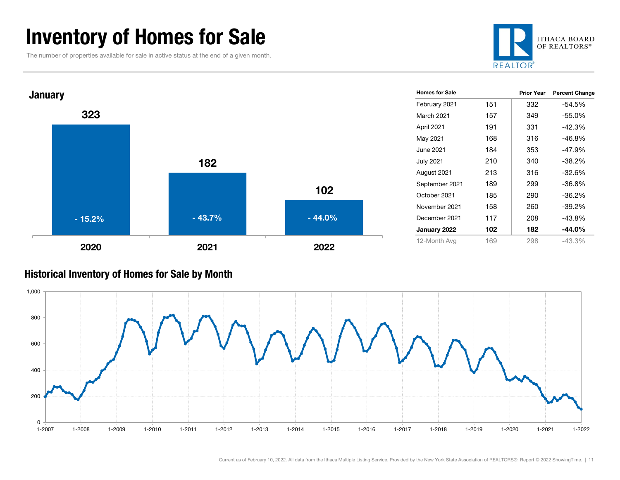### Inventory of Homes for Sale

The number of properties available for sale in active status at the end of a given month.





#### Historical Inventory of Homes for Sale by Month

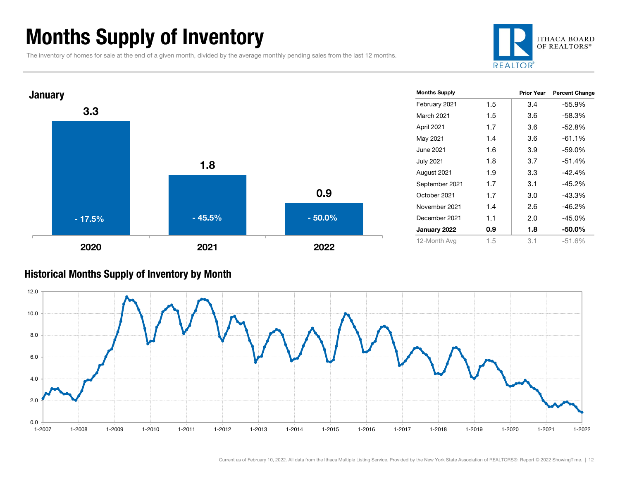### Months Supply of Inventory

The inventory of homes for sale at the end of a given month, divided by the average monthly pending sales from the last 12 months.





#### Historical Months Supply of Inventory by Month

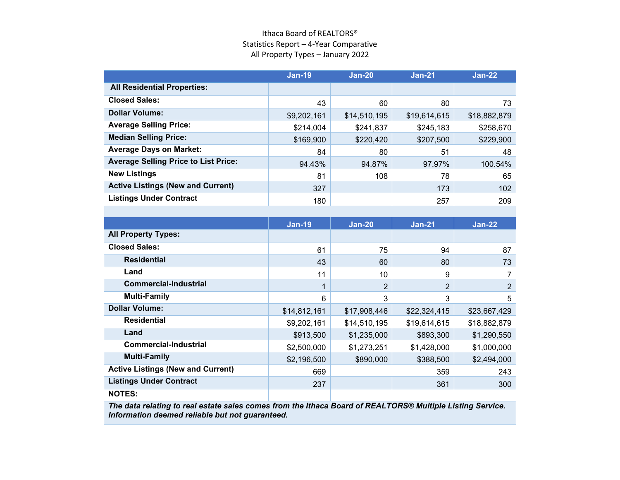#### Ithaca Board of REALTORS® Statistics Report – 4-Year Comparative All Property Types – January 2022

|                                             | <b>Jan-19</b> | <b>Jan-20</b> | $Jan-21$     | <b>Jan-22</b> |
|---------------------------------------------|---------------|---------------|--------------|---------------|
| <b>All Residential Properties:</b>          |               |               |              |               |
| <b>Closed Sales:</b>                        | 43            | 60            | 80           | 73            |
| <b>Dollar Volume:</b>                       | \$9,202,161   | \$14,510,195  | \$19,614,615 | \$18,882,879  |
| <b>Average Selling Price:</b>               | \$214,004     | \$241,837     | \$245,183    | \$258,670     |
| <b>Median Selling Price:</b>                | \$169,900     | \$220,420     | \$207,500    | \$229,900     |
| <b>Average Days on Market:</b>              | 84            | 80            | 51           | 48            |
| <b>Average Selling Price to List Price:</b> | 94.43%        | 94.87%        | 97.97%       | 100.54%       |
| <b>New Listings</b>                         | 81            | 108           | 78           | 65            |
| <b>Active Listings (New and Current)</b>    | 327           |               | 173          | 102           |
| <b>Listings Under Contract</b>              | 180           |               | 257          | 209           |

|                                          | <b>Jan-19</b> | $Jan-20$     | $Jan-21$       | <b>Jan-22</b>  |
|------------------------------------------|---------------|--------------|----------------|----------------|
| <b>All Property Types:</b>               |               |              |                |                |
| <b>Closed Sales:</b>                     | 61            | 75           | 94             | 87             |
| <b>Residential</b>                       | 43            | 60           | 80             | 73             |
| Land                                     | 11            | 10           | 9              |                |
| <b>Commercial-Industrial</b>             |               | 2            | $\overline{2}$ | $\overline{2}$ |
| <b>Multi-Family</b>                      | 6             | 3            | 3              | 5              |
| <b>Dollar Volume:</b>                    | \$14,812,161  | \$17,908,446 | \$22,324,415   | \$23,667,429   |
| <b>Residential</b>                       | \$9,202,161   | \$14,510,195 | \$19,614,615   | \$18,882,879   |
| Land                                     | \$913,500     | \$1,235,000  | \$893,300      | \$1,290,550    |
| <b>Commercial-Industrial</b>             | \$2,500,000   | \$1,273,251  | \$1,428,000    | \$1,000,000    |
| <b>Multi-Family</b>                      | \$2,196,500   | \$890,000    | \$388,500      | \$2,494,000    |
| <b>Active Listings (New and Current)</b> | 669           |              | 359            | 243            |
| <b>Listings Under Contract</b>           | 237           |              | 361            | 300            |
| <b>NOTES:</b>                            |               |              |                |                |
| .                                        |               |              | .              |                |

*The data relating to real estate sales comes from the Ithaca Board of REALTORS® Multiple Listing Service. Information deemed reliable but not guaranteed.*